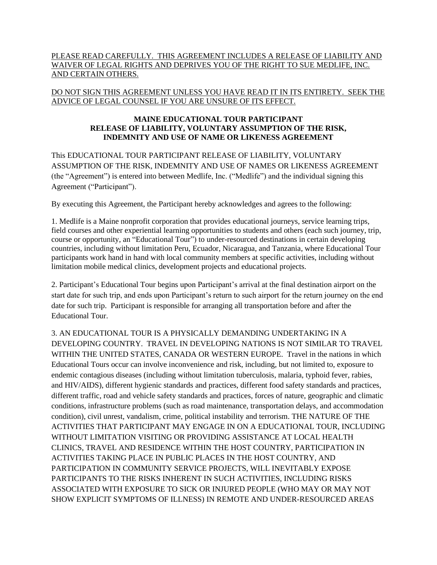## PLEASE READ CAREFULLY. THIS AGREEMENT INCLUDES A RELEASE OF LIABILITY AND WAIVER OF LEGAL RIGHTS AND DEPRIVES YOU OF THE RIGHT TO SUE MEDLIFE, INC. AND CERTAIN OTHERS.

## DO NOT SIGN THIS AGREEMENT UNLESS YOU HAVE READ IT IN ITS ENTIRETY. SEEK THE ADVICE OF LEGAL COUNSEL IF YOU ARE UNSURE OF ITS EFFECT.

## **MAINE EDUCATIONAL TOUR PARTICIPANT RELEASE OF LIABILITY, VOLUNTARY ASSUMPTION OF THE RISK, INDEMNITY AND USE OF NAME OR LIKENESS AGREEMENT**

This EDUCATIONAL TOUR PARTICIPANT RELEASE OF LIABILITY, VOLUNTARY ASSUMPTION OF THE RISK, INDEMNITY AND USE OF NAMES OR LIKENESS AGREEMENT (the "Agreement") is entered into between Medlife, Inc. ("Medlife") and the individual signing this Agreement ("Participant").

By executing this Agreement, the Participant hereby acknowledges and agrees to the following:

1. Medlife is a Maine nonprofit corporation that provides educational journeys, service learning trips, field courses and other experiential learning opportunities to students and others (each such journey, trip, course or opportunity, an "Educational Tour") to under-resourced destinations in certain developing countries, including without limitation Peru, Ecuador, Nicaragua, and Tanzania, where Educational Tour participants work hand in hand with local community members at specific activities, including without limitation mobile medical clinics, development projects and educational projects.

2. Participant's Educational Tour begins upon Participant's arrival at the final destination airport on the start date for such trip, and ends upon Participant's return to such airport for the return journey on the end date for such trip. Participant is responsible for arranging all transportation before and after the Educational Tour.

3. AN EDUCATIONAL TOUR IS A PHYSICALLY DEMANDING UNDERTAKING IN A DEVELOPING COUNTRY. TRAVEL IN DEVELOPING NATIONS IS NOT SIMILAR TO TRAVEL WITHIN THE UNITED STATES, CANADA OR WESTERN EUROPE. Travel in the nations in which Educational Tours occur can involve inconvenience and risk, including, but not limited to, exposure to endemic contagious diseases (including without limitation tuberculosis, malaria, typhoid fever, rabies, and HIV/AIDS), different hygienic standards and practices, different food safety standards and practices, different traffic, road and vehicle safety standards and practices, forces of nature, geographic and climatic conditions, infrastructure problems (such as road maintenance, transportation delays, and accommodation condition), civil unrest, vandalism, crime, political instability and terrorism. THE NATURE OF THE ACTIVITIES THAT PARTICIPANT MAY ENGAGE IN ON A EDUCATIONAL TOUR, INCLUDING WITHOUT LIMITATION VISITING OR PROVIDING ASSISTANCE AT LOCAL HEALTH CLINICS, TRAVEL AND RESIDENCE WITHIN THE HOST COUNTRY, PARTICIPATION IN ACTIVITIES TAKING PLACE IN PUBLIC PLACES IN THE HOST COUNTRY, AND PARTICIPATION IN COMMUNITY SERVICE PROJECTS, WILL INEVITABLY EXPOSE PARTICIPANTS TO THE RISKS INHERENT IN SUCH ACTIVITIES, INCLUDING RISKS ASSOCIATED WITH EXPOSURE TO SICK OR INJURED PEOPLE (WHO MAY OR MAY NOT SHOW EXPLICIT SYMPTOMS OF ILLNESS) IN REMOTE AND UNDER-RESOURCED AREAS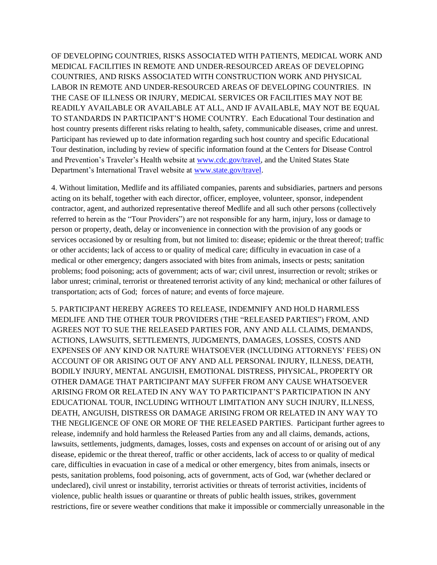OF DEVELOPING COUNTRIES, RISKS ASSOCIATED WITH PATIENTS, MEDICAL WORK AND MEDICAL FACILITIES IN REMOTE AND UNDER-RESOURCED AREAS OF DEVELOPING COUNTRIES, AND RISKS ASSOCIATED WITH CONSTRUCTION WORK AND PHYSICAL LABOR IN REMOTE AND UNDER-RESOURCED AREAS OF DEVELOPING COUNTRIES. IN THE CASE OF ILLNESS OR INJURY, MEDICAL SERVICES OR FACILITIES MAY NOT BE READILY AVAILABLE OR AVAILABLE AT ALL, AND IF AVAILABLE, MAY NOT BE EQUAL TO STANDARDS IN PARTICIPANT'S HOME COUNTRY. Each Educational Tour destination and host country presents different risks relating to health, safety, communicable diseases, crime and unrest. Participant has reviewed up to date information regarding such host country and specific Educational Tour destination, including by review of specific information found at the Centers for Disease Control and Prevention's Traveler's Health website at [www.cdc.gov/travel,](http://www.cdc.gov/travel) and the United States State Department's International Travel website at [www.state.gov/travel.](http://www.state.gov/travel)

4. Without limitation, Medlife and its affiliated companies, parents and subsidiaries, partners and persons acting on its behalf, together with each director, officer, employee, volunteer, sponsor, independent contractor, agent, and authorized representative thereof Medlife and all such other persons (collectively referred to herein as the "Tour Providers") are not responsible for any harm, injury, loss or damage to person or property, death, delay or inconvenience in connection with the provision of any goods or services occasioned by or resulting from, but not limited to: disease; epidemic or the threat thereof; traffic or other accidents; lack of access to or quality of medical care; difficulty in evacuation in case of a medical or other emergency; dangers associated with bites from animals, insects or pests; sanitation problems; food poisoning; acts of government; acts of war; civil unrest, insurrection or revolt; strikes or labor unrest; criminal, terrorist or threatened terrorist activity of any kind; mechanical or other failures of transportation; acts of God; forces of nature; and events of force majeure.

5. PARTICIPANT HEREBY AGREES TO RELEASE, INDEMNIFY AND HOLD HARMLESS MEDLIFE AND THE OTHER TOUR PROVIDERS (THE "RELEASED PARTIES") FROM, AND AGREES NOT TO SUE THE RELEASED PARTIES FOR, ANY AND ALL CLAIMS, DEMANDS, ACTIONS, LAWSUITS, SETTLEMENTS, JUDGMENTS, DAMAGES, LOSSES, COSTS AND EXPENSES OF ANY KIND OR NATURE WHATSOEVER (INCLUDING ATTORNEYS' FEES) ON ACCOUNT OF OR ARISING OUT OF ANY AND ALL PERSONAL INJURY, ILLNESS, DEATH, BODILY INJURY, MENTAL ANGUISH, EMOTIONAL DISTRESS, PHYSICAL, PROPERTY OR OTHER DAMAGE THAT PARTICIPANT MAY SUFFER FROM ANY CAUSE WHATSOEVER ARISING FROM OR RELATED IN ANY WAY TO PARTICIPANT'S PARTICIPATION IN ANY EDUCATIONAL TOUR, INCLUDING WITHOUT LIMITATION ANY SUCH INJURY, ILLNESS, DEATH, ANGUISH, DISTRESS OR DAMAGE ARISING FROM OR RELATED IN ANY WAY TO THE NEGLIGENCE OF ONE OR MORE OF THE RELEASED PARTIES. Participant further agrees to release, indemnify and hold harmless the Released Parties from any and all claims, demands, actions, lawsuits, settlements, judgments, damages, losses, costs and expenses on account of or arising out of any disease, epidemic or the threat thereof, traffic or other accidents, lack of access to or quality of medical care, difficulties in evacuation in case of a medical or other emergency, bites from animals, insects or pests, sanitation problems, food poisoning, acts of government, acts of God, war (whether declared or undeclared), civil unrest or instability, terrorist activities or threats of terrorist activities, incidents of violence, public health issues or quarantine or threats of public health issues, strikes, government restrictions, fire or severe weather conditions that make it impossible or commercially unreasonable in the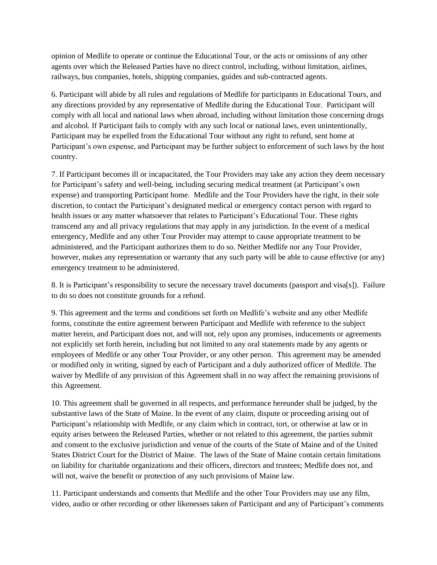opinion of Medlife to operate or continue the Educational Tour, or the acts or omissions of any other agents over which the Released Parties have no direct control, including, without limitation, airlines, railways, bus companies, hotels, shipping companies, guides and sub-contracted agents.

6. Participant will abide by all rules and regulations of Medlife for participants in Educational Tours, and any directions provided by any representative of Medlife during the Educational Tour. Participant will comply with all local and national laws when abroad, including without limitation those concerning drugs and alcohol. If Participant fails to comply with any such local or national laws, even unintentionally, Participant may be expelled from the Educational Tour without any right to refund, sent home at Participant's own expense, and Participant may be further subject to enforcement of such laws by the host country.

7. If Participant becomes ill or incapacitated, the Tour Providers may take any action they deem necessary for Participant's safety and well-being, including securing medical treatment (at Participant's own expense) and transporting Participant home. Medlife and the Tour Providers have the right, in their sole discretion, to contact the Participant's designated medical or emergency contact person with regard to health issues or any matter whatsoever that relates to Participant's Educational Tour. These rights transcend any and all privacy regulations that may apply in any jurisdiction. In the event of a medical emergency, Medlife and any other Tour Provider may attempt to cause appropriate treatment to be administered, and the Participant authorizes them to do so. Neither Medlife nor any Tour Provider, however, makes any representation or warranty that any such party will be able to cause effective (or any) emergency treatment to be administered.

8. It is Participant's responsibility to secure the necessary travel documents (passport and visa[s]). Failure to do so does not constitute grounds for a refund.

9. This agreement and the terms and conditions set forth on Medlife's website and any other Medlife forms, constitute the entire agreement between Participant and Medlife with reference to the subject matter herein, and Participant does not, and will not, rely upon any promises, inducements or agreements not explicitly set forth herein, including but not limited to any oral statements made by any agents or employees of Medlife or any other Tour Provider, or any other person. This agreement may be amended or modified only in writing, signed by each of Participant and a duly authorized officer of Medlife. The waiver by Medlife of any provision of this Agreement shall in no way affect the remaining provisions of this Agreement.

10. This agreement shall be governed in all respects, and performance hereunder shall be judged, by the substantive laws of the State of Maine. In the event of any claim, dispute or proceeding arising out of Participant's relationship with Medlife, or any claim which in contract, tort, or otherwise at law or in equity arises between the Released Parties, whether or not related to this agreement, the parties submit and consent to the exclusive jurisdiction and venue of the courts of the State of Maine and of the United States District Court for the District of Maine. The laws of the State of Maine contain certain limitations on liability for charitable organizations and their officers, directors and trustees; Medlife does not, and will not, waive the benefit or protection of any such provisions of Maine law.

11. Participant understands and consents that Medlife and the other Tour Providers may use any film, video, audio or other recording or other likenesses taken of Participant and any of Participant's comments